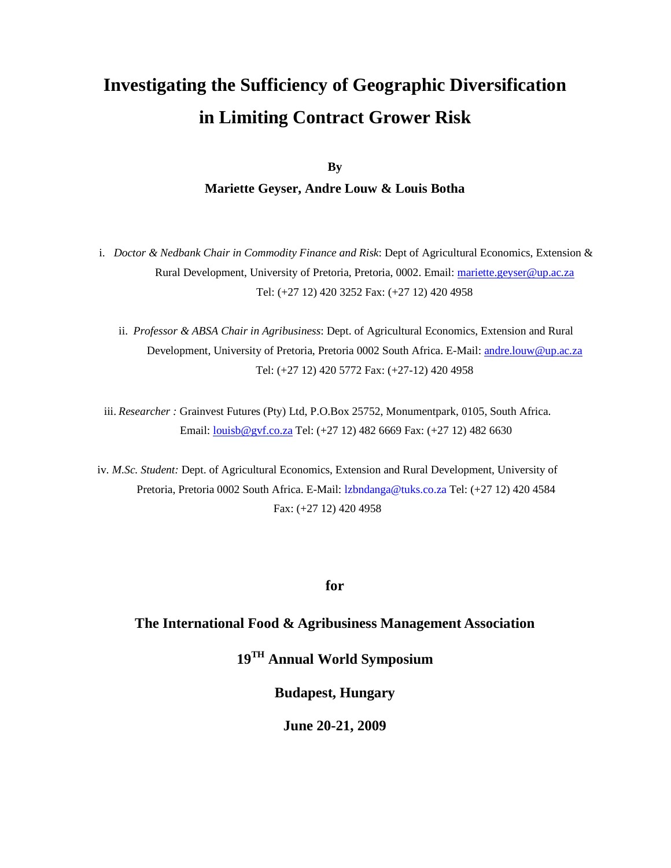**By** 

### **Mariette Geyser, Andre Louw & Louis Botha**

i. *Doctor & Nedbank Chair in Commodity Finance and Risk*: Dept of Agricultural Economics, Extension & Rural Development, University of Pretoria, Pretoria, 0002. Email: mariette.geyser@up.ac.za Tel: (+27 12) 420 3252 Fax: (+27 12) 420 4958

ii. *Professor & ABSA Chair in Agribusiness*: Dept. of Agricultural Economics, Extension and Rural Development, University of Pretoria, Pretoria 0002 South Africa. E-Mail: andre.louw@up.ac.za Tel: (+27 12) 420 5772 Fax: (+27-12) 420 4958

iii. *Researcher :* Grainvest Futures (Pty) Ltd, P.O.Box 25752, Monumentpark, 0105, South Africa. Email: louisb@gvf.co.za Tel: (+27 12) 482 6669 Fax: (+27 12) 482 6630

iv. *M.Sc. Student:* Dept. of Agricultural Economics, Extension and Rural Development, University of Pretoria, Pretoria 0002 South Africa. E-Mail: lzbndanga@tuks.co.za Tel: (+27 12) 420 4584 Fax: (+27 12) 420 4958

**for** 

### **The International Food & Agribusiness Management Association**

**19TH Annual World Symposium** 

**Budapest, Hungary** 

**June 20-21, 2009**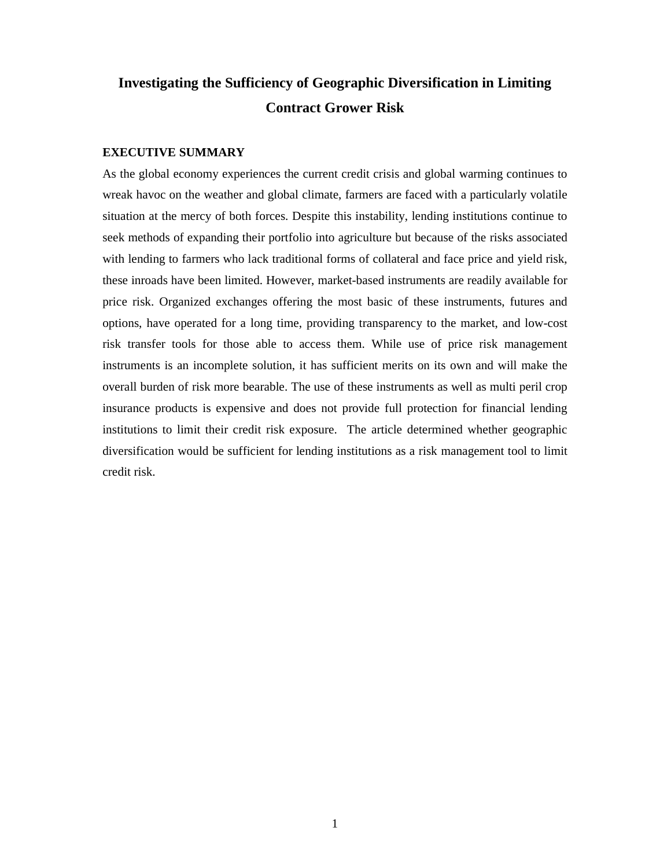#### **EXECUTIVE SUMMARY**

As the global economy experiences the current credit crisis and global warming continues to wreak havoc on the weather and global climate, farmers are faced with a particularly volatile situation at the mercy of both forces. Despite this instability, lending institutions continue to seek methods of expanding their portfolio into agriculture but because of the risks associated with lending to farmers who lack traditional forms of collateral and face price and yield risk, these inroads have been limited. However, market-based instruments are readily available for price risk. Organized exchanges offering the most basic of these instruments, futures and options, have operated for a long time, providing transparency to the market, and low-cost risk transfer tools for those able to access them. While use of price risk management instruments is an incomplete solution, it has sufficient merits on its own and will make the overall burden of risk more bearable. The use of these instruments as well as multi peril crop insurance products is expensive and does not provide full protection for financial lending institutions to limit their credit risk exposure. The article determined whether geographic diversification would be sufficient for lending institutions as a risk management tool to limit credit risk.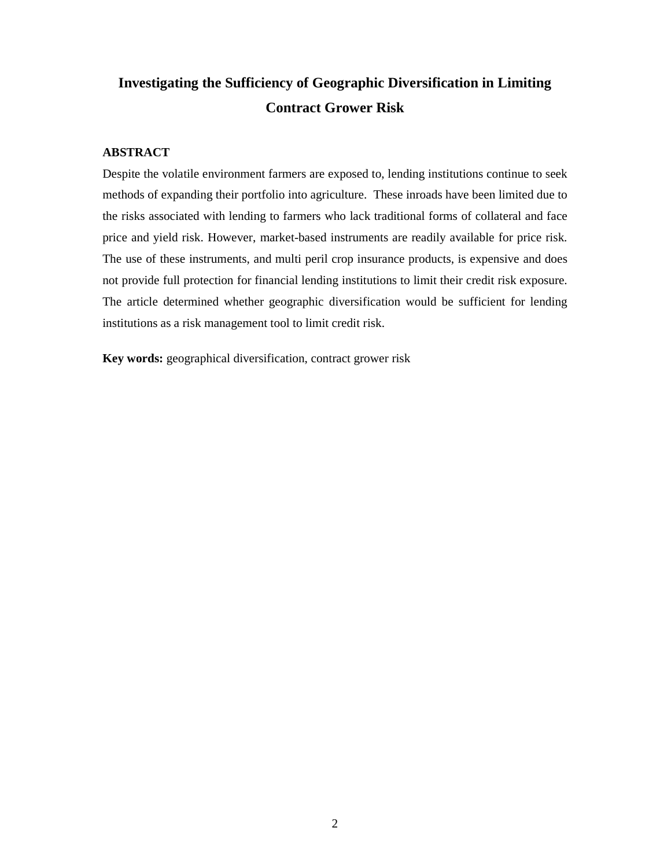### **ABSTRACT**

Despite the volatile environment farmers are exposed to, lending institutions continue to seek methods of expanding their portfolio into agriculture. These inroads have been limited due to the risks associated with lending to farmers who lack traditional forms of collateral and face price and yield risk. However, market-based instruments are readily available for price risk. The use of these instruments, and multi peril crop insurance products, is expensive and does not provide full protection for financial lending institutions to limit their credit risk exposure. The article determined whether geographic diversification would be sufficient for lending institutions as a risk management tool to limit credit risk.

**Key words:** geographical diversification, contract grower risk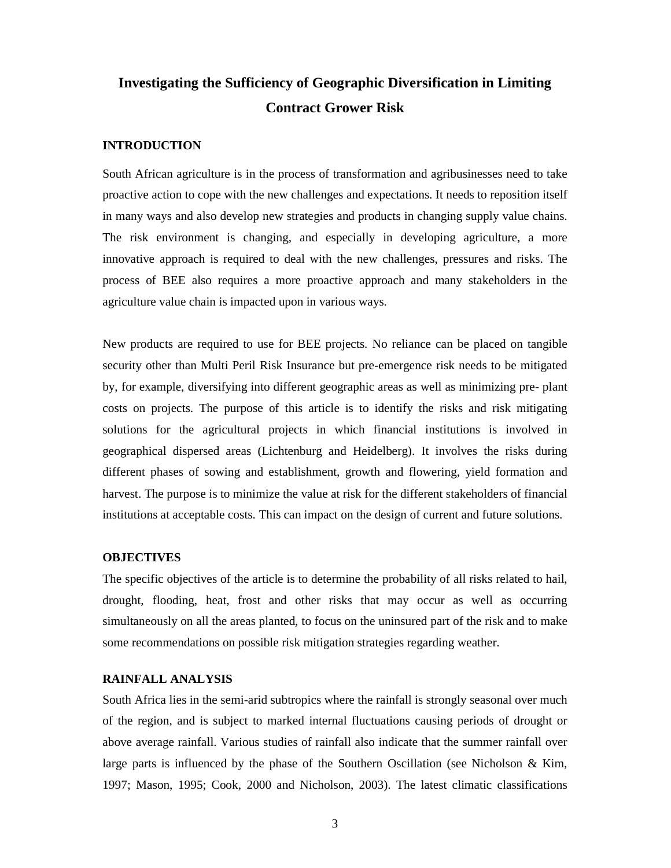#### **INTRODUCTION**

South African agriculture is in the process of transformation and agribusinesses need to take proactive action to cope with the new challenges and expectations. It needs to reposition itself in many ways and also develop new strategies and products in changing supply value chains. The risk environment is changing, and especially in developing agriculture, a more innovative approach is required to deal with the new challenges, pressures and risks. The process of BEE also requires a more proactive approach and many stakeholders in the agriculture value chain is impacted upon in various ways.

New products are required to use for BEE projects. No reliance can be placed on tangible security other than Multi Peril Risk Insurance but pre-emergence risk needs to be mitigated by, for example, diversifying into different geographic areas as well as minimizing pre- plant costs on projects. The purpose of this article is to identify the risks and risk mitigating solutions for the agricultural projects in which financial institutions is involved in geographical dispersed areas (Lichtenburg and Heidelberg). It involves the risks during different phases of sowing and establishment, growth and flowering, yield formation and harvest. The purpose is to minimize the value at risk for the different stakeholders of financial institutions at acceptable costs. This can impact on the design of current and future solutions.

#### **OBJECTIVES**

The specific objectives of the article is to determine the probability of all risks related to hail, drought, flooding, heat, frost and other risks that may occur as well as occurring simultaneously on all the areas planted, to focus on the uninsured part of the risk and to make some recommendations on possible risk mitigation strategies regarding weather.

#### **RAINFALL ANALYSIS**

South Africa lies in the semi-arid subtropics where the rainfall is strongly seasonal over much of the region, and is subject to marked internal fluctuations causing periods of drought or above average rainfall. Various studies of rainfall also indicate that the summer rainfall over large parts is influenced by the phase of the Southern Oscillation (see Nicholson & Kim, 1997; Mason, 1995; Cook, 2000 and Nicholson, 2003). The latest climatic classifications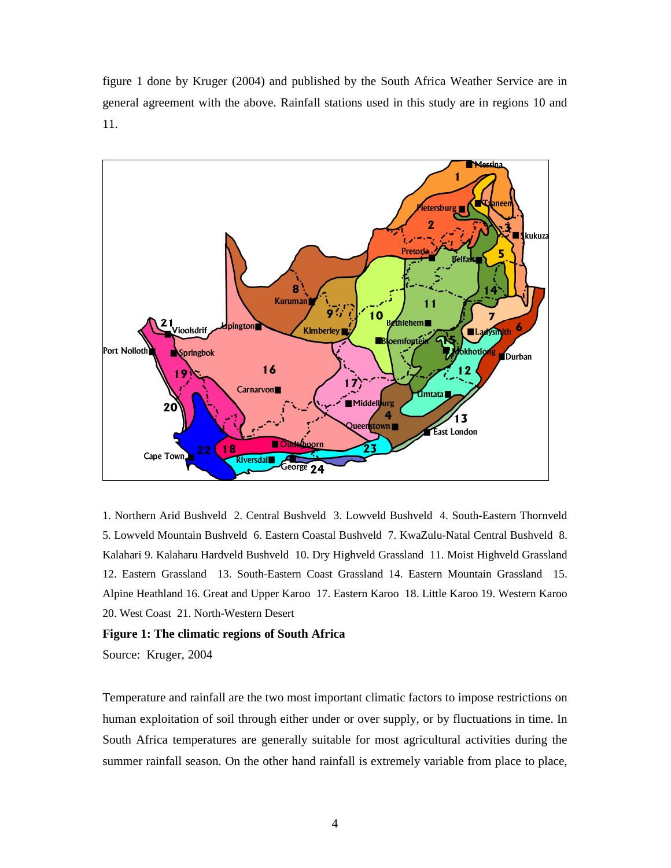figure 1 done by Kruger (2004) and published by the South Africa Weather Service are in general agreement with the above. Rainfall stations used in this study are in regions 10 and 11.



1. Northern Arid Bushveld 2. Central Bushveld 3. Lowveld Bushveld 4. South-Eastern Thornveld 5. Lowveld Mountain Bushveld 6. Eastern Coastal Bushveld 7. KwaZulu-Natal Central Bushveld 8. Kalahari 9. Kalaharu Hardveld Bushveld 10. Dry Highveld Grassland 11. Moist Highveld Grassland 12. Eastern Grassland 13. South-Eastern Coast Grassland 14. Eastern Mountain Grassland 15. Alpine Heathland 16. Great and Upper Karoo 17. Eastern Karoo 18. Little Karoo 19. Western Karoo 20. West Coast 21. North-Western Desert

#### **Figure 1: The climatic regions of South Africa**

Source: Kruger, 2004

Temperature and rainfall are the two most important climatic factors to impose restrictions on human exploitation of soil through either under or over supply, or by fluctuations in time. In South Africa temperatures are generally suitable for most agricultural activities during the summer rainfall season. On the other hand rainfall is extremely variable from place to place,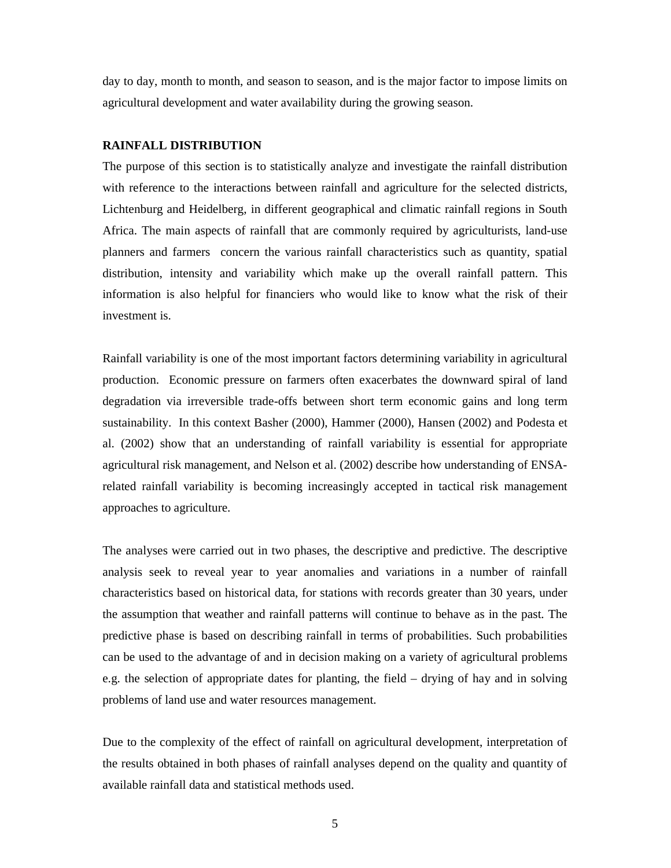day to day, month to month, and season to season, and is the major factor to impose limits on agricultural development and water availability during the growing season.

#### **RAINFALL DISTRIBUTION**

The purpose of this section is to statistically analyze and investigate the rainfall distribution with reference to the interactions between rainfall and agriculture for the selected districts, Lichtenburg and Heidelberg, in different geographical and climatic rainfall regions in South Africa. The main aspects of rainfall that are commonly required by agriculturists, land-use planners and farmers concern the various rainfall characteristics such as quantity, spatial distribution, intensity and variability which make up the overall rainfall pattern. This information is also helpful for financiers who would like to know what the risk of their investment is.

Rainfall variability is one of the most important factors determining variability in agricultural production. Economic pressure on farmers often exacerbates the downward spiral of land degradation via irreversible trade-offs between short term economic gains and long term sustainability. In this context Basher (2000), Hammer (2000), Hansen (2002) and Podesta et al. (2002) show that an understanding of rainfall variability is essential for appropriate agricultural risk management, and Nelson et al. (2002) describe how understanding of ENSArelated rainfall variability is becoming increasingly accepted in tactical risk management approaches to agriculture.

The analyses were carried out in two phases, the descriptive and predictive. The descriptive analysis seek to reveal year to year anomalies and variations in a number of rainfall characteristics based on historical data, for stations with records greater than 30 years, under the assumption that weather and rainfall patterns will continue to behave as in the past. The predictive phase is based on describing rainfall in terms of probabilities. Such probabilities can be used to the advantage of and in decision making on a variety of agricultural problems e.g. the selection of appropriate dates for planting, the field – drying of hay and in solving problems of land use and water resources management.

Due to the complexity of the effect of rainfall on agricultural development, interpretation of the results obtained in both phases of rainfall analyses depend on the quality and quantity of available rainfall data and statistical methods used.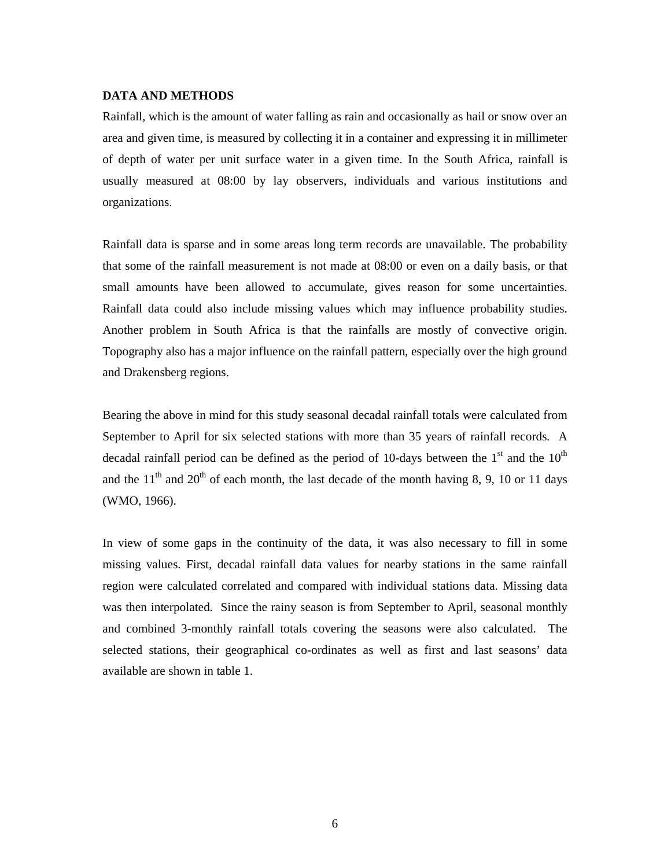#### **DATA AND METHODS**

Rainfall, which is the amount of water falling as rain and occasionally as hail or snow over an area and given time, is measured by collecting it in a container and expressing it in millimeter of depth of water per unit surface water in a given time. In the South Africa, rainfall is usually measured at 08:00 by lay observers, individuals and various institutions and organizations.

Rainfall data is sparse and in some areas long term records are unavailable. The probability that some of the rainfall measurement is not made at 08:00 or even on a daily basis, or that small amounts have been allowed to accumulate, gives reason for some uncertainties. Rainfall data could also include missing values which may influence probability studies. Another problem in South Africa is that the rainfalls are mostly of convective origin. Topography also has a major influence on the rainfall pattern, especially over the high ground and Drakensberg regions.

Bearing the above in mind for this study seasonal decadal rainfall totals were calculated from September to April for six selected stations with more than 35 years of rainfall records. A decadal rainfall period can be defined as the period of 10-days between the  $1<sup>st</sup>$  and the  $10<sup>th</sup>$ and the  $11<sup>th</sup>$  and  $20<sup>th</sup>$  of each month, the last decade of the month having 8, 9, 10 or 11 days (WMO, 1966).

In view of some gaps in the continuity of the data, it was also necessary to fill in some missing values. First, decadal rainfall data values for nearby stations in the same rainfall region were calculated correlated and compared with individual stations data. Missing data was then interpolated. Since the rainy season is from September to April, seasonal monthly and combined 3-monthly rainfall totals covering the seasons were also calculated. The selected stations, their geographical co-ordinates as well as first and last seasons' data available are shown in table 1.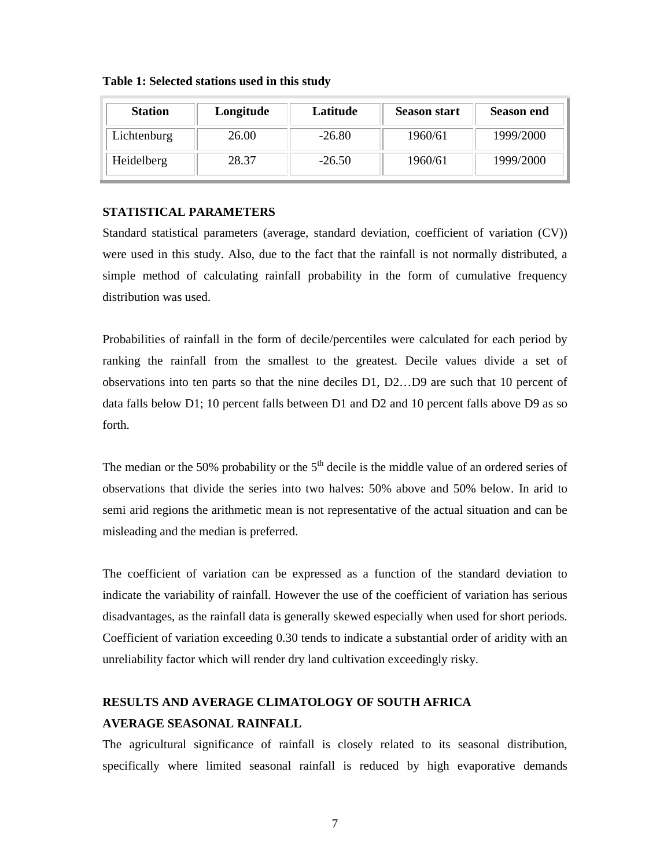| <b>Station</b> | Longitude | Latitude | <b>Season start</b> | <b>Season end</b> |
|----------------|-----------|----------|---------------------|-------------------|
| Lichtenburg    | 26.00     | $-26.80$ | 1960/61             | 1999/2000         |
| Heidelberg     | 28.37     | $-26.50$ | 1960/61             | 1999/2000         |

**Table 1: Selected stations used in this study**

#### **STATISTICAL PARAMETERS**

Standard statistical parameters (average, standard deviation, coefficient of variation (CV)) were used in this study. Also, due to the fact that the rainfall is not normally distributed, a simple method of calculating rainfall probability in the form of cumulative frequency distribution was used.

Probabilities of rainfall in the form of decile/percentiles were calculated for each period by ranking the rainfall from the smallest to the greatest. Decile values divide a set of observations into ten parts so that the nine deciles D1, D2…D9 are such that 10 percent of data falls below D1; 10 percent falls between D1 and D2 and 10 percent falls above D9 as so forth.

The median or the 50% probability or the  $5<sup>th</sup>$  decile is the middle value of an ordered series of observations that divide the series into two halves: 50% above and 50% below. In arid to semi arid regions the arithmetic mean is not representative of the actual situation and can be misleading and the median is preferred.

The coefficient of variation can be expressed as a function of the standard deviation to indicate the variability of rainfall. However the use of the coefficient of variation has serious disadvantages, as the rainfall data is generally skewed especially when used for short periods. Coefficient of variation exceeding 0.30 tends to indicate a substantial order of aridity with an unreliability factor which will render dry land cultivation exceedingly risky.

### **RESULTS AND AVERAGE CLIMATOLOGY OF SOUTH AFRICA AVERAGE SEASONAL RAINFALL**

The agricultural significance of rainfall is closely related to its seasonal distribution, specifically where limited seasonal rainfall is reduced by high evaporative demands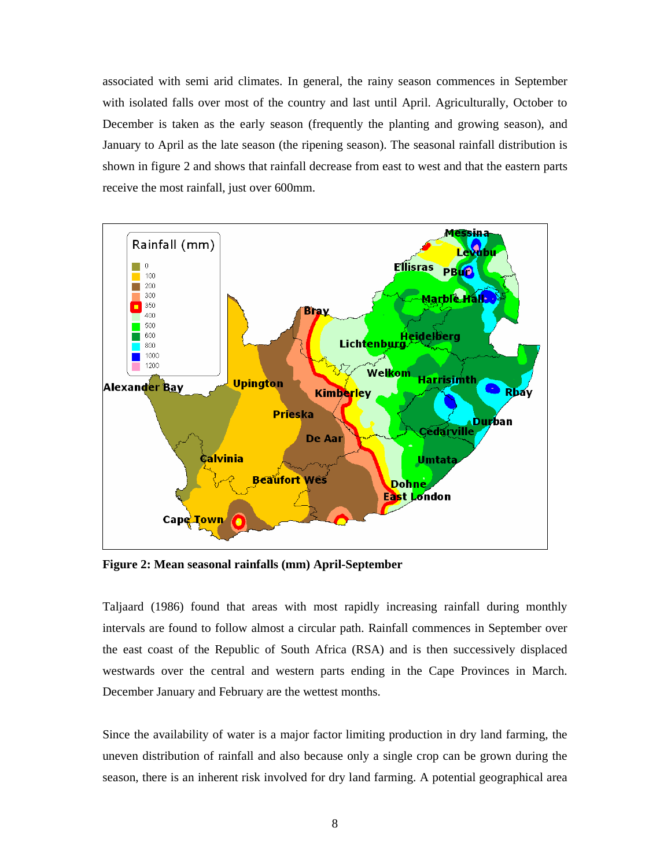associated with semi arid climates. In general, the rainy season commences in September with isolated falls over most of the country and last until April. Agriculturally, October to December is taken as the early season (frequently the planting and growing season), and January to April as the late season (the ripening season). The seasonal rainfall distribution is shown in figure 2 and shows that rainfall decrease from east to west and that the eastern parts receive the most rainfall, just over 600mm.



**Figure 2: Mean seasonal rainfalls (mm) April-September**

Taljaard (1986) found that areas with most rapidly increasing rainfall during monthly intervals are found to follow almost a circular path. Rainfall commences in September over the east coast of the Republic of South Africa (RSA) and is then successively displaced westwards over the central and western parts ending in the Cape Provinces in March. December January and February are the wettest months.

Since the availability of water is a major factor limiting production in dry land farming, the uneven distribution of rainfall and also because only a single crop can be grown during the season, there is an inherent risk involved for dry land farming. A potential geographical area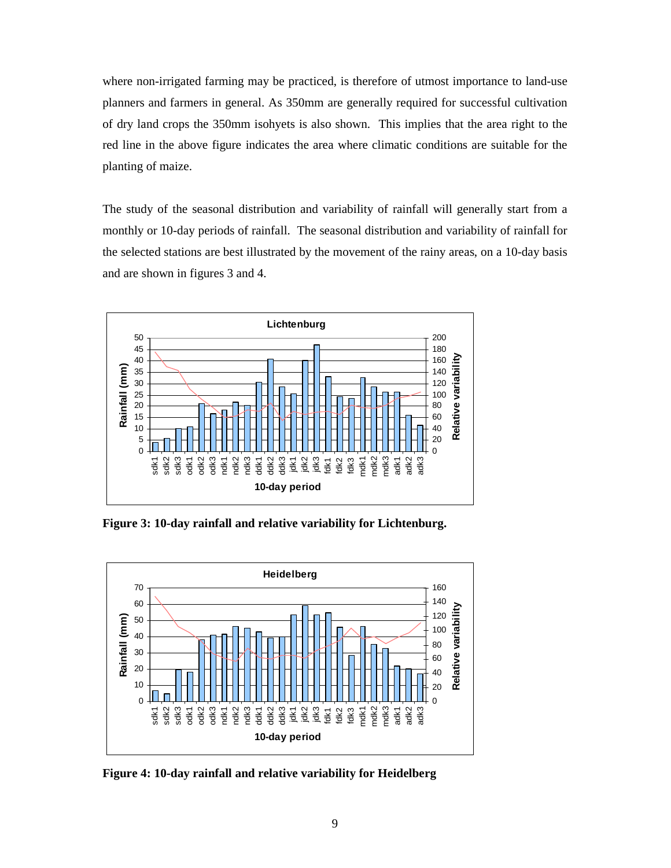where non-irrigated farming may be practiced, is therefore of utmost importance to land-use planners and farmers in general. As 350mm are generally required for successful cultivation of dry land crops the 350mm isohyets is also shown. This implies that the area right to the red line in the above figure indicates the area where climatic conditions are suitable for the planting of maize.

The study of the seasonal distribution and variability of rainfall will generally start from a monthly or 10-day periods of rainfall. The seasonal distribution and variability of rainfall for the selected stations are best illustrated by the movement of the rainy areas, on a 10-day basis and are shown in figures 3 and 4.



**Figure 3: 10-day rainfall and relative variability for Lichtenburg.**



**Figure 4: 10-day rainfall and relative variability for Heidelberg**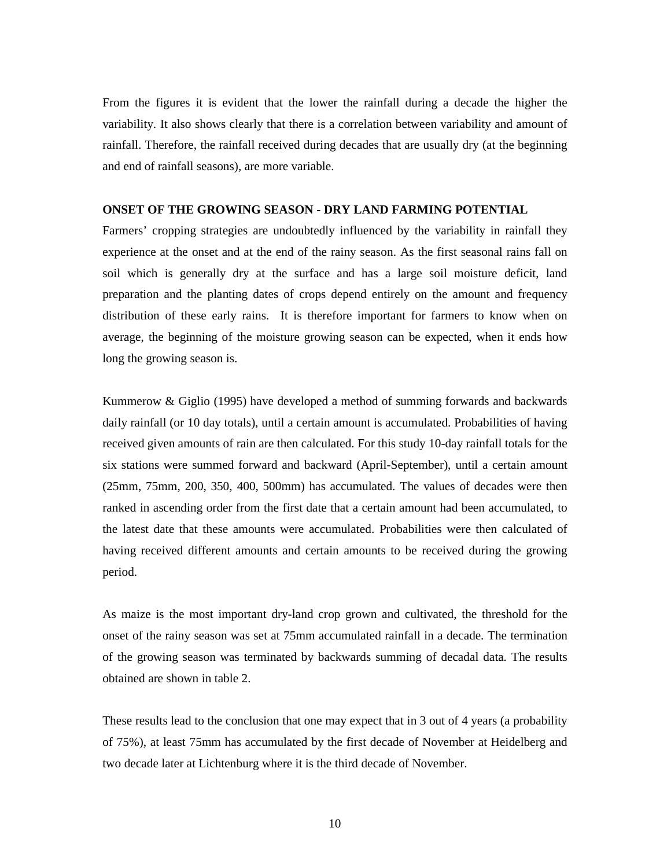From the figures it is evident that the lower the rainfall during a decade the higher the variability. It also shows clearly that there is a correlation between variability and amount of rainfall. Therefore, the rainfall received during decades that are usually dry (at the beginning and end of rainfall seasons), are more variable.

#### **ONSET OF THE GROWING SEASON - DRY LAND FARMING POTENTIAL**

Farmers' cropping strategies are undoubtedly influenced by the variability in rainfall they experience at the onset and at the end of the rainy season. As the first seasonal rains fall on soil which is generally dry at the surface and has a large soil moisture deficit, land preparation and the planting dates of crops depend entirely on the amount and frequency distribution of these early rains. It is therefore important for farmers to know when on average, the beginning of the moisture growing season can be expected, when it ends how long the growing season is.

Kummerow & Giglio (1995) have developed a method of summing forwards and backwards daily rainfall (or 10 day totals), until a certain amount is accumulated. Probabilities of having received given amounts of rain are then calculated. For this study 10-day rainfall totals for the six stations were summed forward and backward (April-September), until a certain amount (25mm, 75mm, 200, 350, 400, 500mm) has accumulated. The values of decades were then ranked in ascending order from the first date that a certain amount had been accumulated, to the latest date that these amounts were accumulated. Probabilities were then calculated of having received different amounts and certain amounts to be received during the growing period.

As maize is the most important dry-land crop grown and cultivated, the threshold for the onset of the rainy season was set at 75mm accumulated rainfall in a decade. The termination of the growing season was terminated by backwards summing of decadal data. The results obtained are shown in table 2.

These results lead to the conclusion that one may expect that in 3 out of 4 years (a probability of 75%), at least 75mm has accumulated by the first decade of November at Heidelberg and two decade later at Lichtenburg where it is the third decade of November.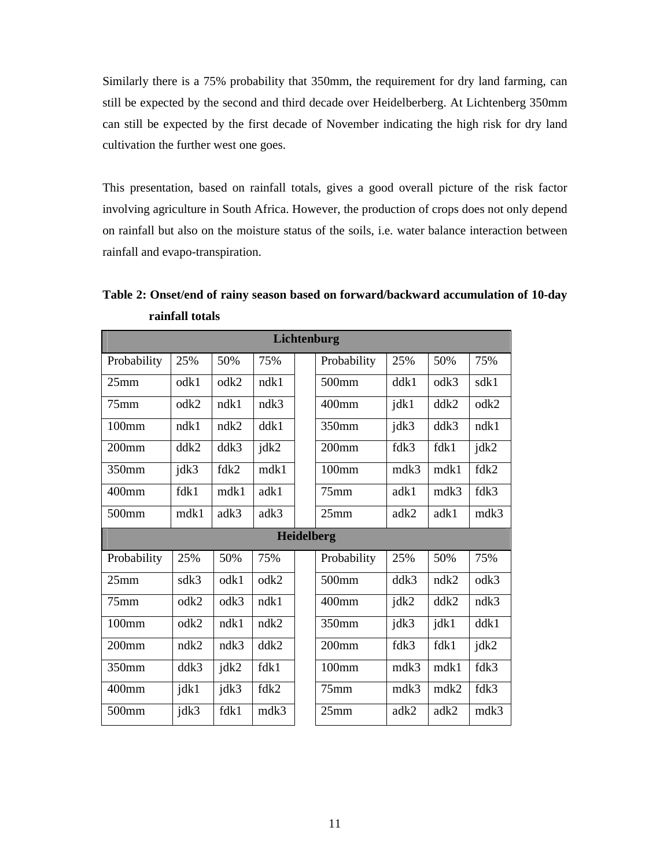Similarly there is a 75% probability that 350mm, the requirement for dry land farming, can still be expected by the second and third decade over Heidelberberg. At Lichtenberg 350mm can still be expected by the first decade of November indicating the high risk for dry land cultivation the further west one goes.

This presentation, based on rainfall totals, gives a good overall picture of the risk factor involving agriculture in South Africa. However, the production of crops does not only depend on rainfall but also on the moisture status of the soils, i.e. water balance interaction between rainfall and evapo-transpiration.

| Lichtenburg       |                 |      |      |  |                   |      |      |      |
|-------------------|-----------------|------|------|--|-------------------|------|------|------|
| Probability       | 25%             | 50%  | 75%  |  | Probability       | 25%  | 50%  | 75%  |
| 25mm              | $\mathrm{odk}1$ | odk2 | ndk1 |  | 500mm             | ddk1 | odk3 | sdk1 |
| 75mm              | odk2            | ndk1 | ndk3 |  | 400mm             | jdk1 | ddk2 | odk2 |
| $100$ mm          | ndk1            | ndk2 | ddk1 |  | 350mm             | jdk3 | ddk3 | ndk1 |
| $200$ mm          | ddk2            | ddk3 | jdk2 |  | 200 <sub>mm</sub> | fdk3 | fdk1 | jdk2 |
| 350mm             | jdk3            | fdk2 | mdk1 |  | 100mm             | mdk3 | mdk1 | fdk2 |
| 400mm             | fdk1            | mdk1 | adk1 |  | $75$ mm           | adk1 | mdk3 | fdk3 |
| 500mm             | mdk1            | adk3 | adk3 |  | 25mm              | adk2 | adk1 | mdk3 |
| <b>Heidelberg</b> |                 |      |      |  |                   |      |      |      |
|                   |                 |      |      |  |                   |      |      |      |
| Probability       | 25%             | 50%  | 75%  |  | Probability       | 25%  | 50%  | 75%  |
| 25mm              | sdk3            | odk1 | odk2 |  | 500mm             | ddk3 | ndk2 | odk3 |
| $75$ mm           | odk2            | odk3 | ndk1 |  | 400mm             | jdk2 | ddk2 | ndk3 |
| 100mm             | odk2            | ndk1 | ndk2 |  | 350mm             | jdk3 | jdk1 | ddk1 |
| $200$ mm          | ndk2            | ndk3 | ddk2 |  | 200 <sub>mm</sub> | fdk3 | fdk1 | jdk2 |
| 350mm             | ddk3            | jdk2 | fdk1 |  | 100mm             | mdk3 | mdk1 | fdk3 |
| 400mm             | jdk1            | jdk3 | fdk2 |  | 75mm              | mdk3 | mdk2 | fdk3 |

**Table 2: Onset/end of rainy season based on forward/backward accumulation of 10-day rainfall totals**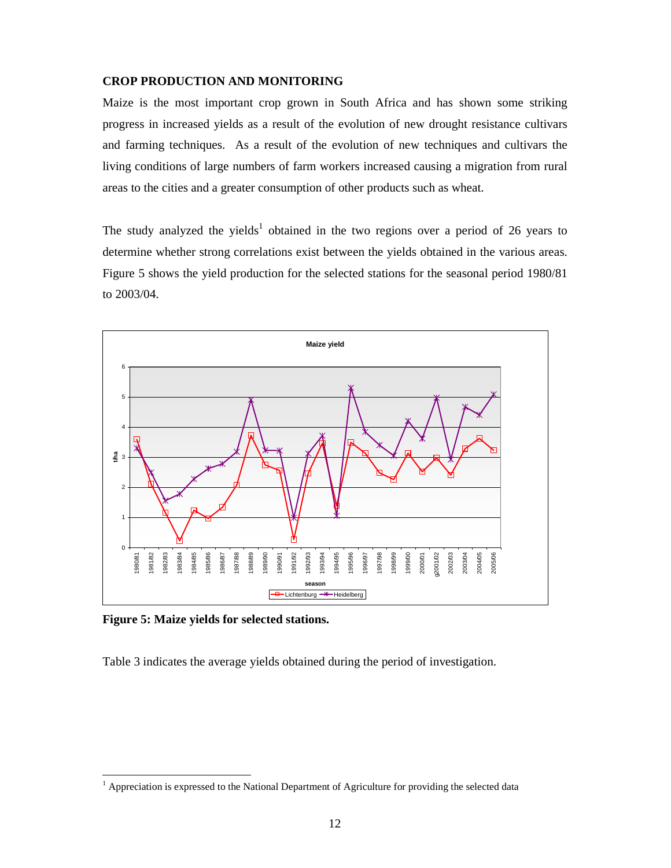#### **CROP PRODUCTION AND MONITORING**

Maize is the most important crop grown in South Africa and has shown some striking progress in increased yields as a result of the evolution of new drought resistance cultivars and farming techniques. As a result of the evolution of new techniques and cultivars the living conditions of large numbers of farm workers increased causing a migration from rural areas to the cities and a greater consumption of other products such as wheat.

The study analyzed the yields<sup>1</sup> obtained in the two regions over a period of 26 years to determine whether strong correlations exist between the yields obtained in the various areas. Figure 5 shows the yield production for the selected stations for the seasonal period 1980/81 to 2003/04.



**Figure 5: Maize yields for selected stations.**

-

Table 3 indicates the average yields obtained during the period of investigation.

<sup>&</sup>lt;sup>1</sup> Appreciation is expressed to the National Department of Agriculture for providing the selected data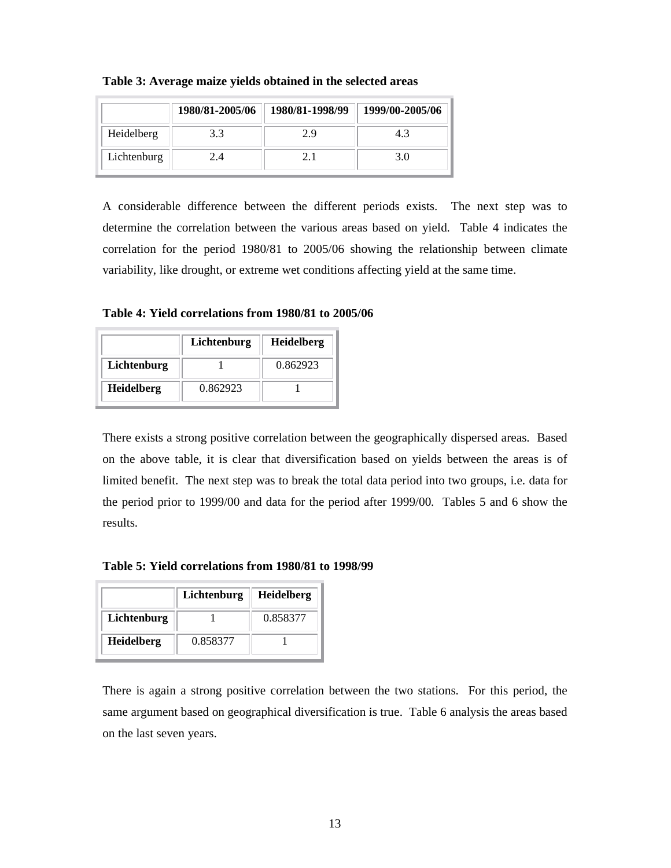|             | 1980/81-2005/06 | 1980/81-1998/99 | 1999/00-2005/06 |
|-------------|-----------------|-----------------|-----------------|
| Heidelberg  | 3.3             | 7 Q             | 43              |
| Lichtenburg | 2.4             |                 | 3 O             |

**Table 3: Average maize yields obtained in the selected areas**

A considerable difference between the different periods exists. The next step was to determine the correlation between the various areas based on yield. Table 4 indicates the correlation for the period 1980/81 to 2005/06 showing the relationship between climate variability, like drought, or extreme wet conditions affecting yield at the same time.

**Table 4: Yield correlations from 1980/81 to 2005/06**

|                   | Lichtenburg | <b>Heidelberg</b> |
|-------------------|-------------|-------------------|
| Lichtenburg       |             | 0.862923          |
| <b>Heidelberg</b> | 0.862923    |                   |

There exists a strong positive correlation between the geographically dispersed areas. Based on the above table, it is clear that diversification based on yields between the areas is of limited benefit. The next step was to break the total data period into two groups, i.e. data for the period prior to 1999/00 and data for the period after 1999/00. Tables 5 and 6 show the results.

**Table 5: Yield correlations from 1980/81 to 1998/99**

|                   | Lichtenburg | <b>Heidelberg</b> |
|-------------------|-------------|-------------------|
| Lichtenburg       |             | 0.858377          |
| <b>Heidelberg</b> | 0.858377    |                   |

There is again a strong positive correlation between the two stations. For this period, the same argument based on geographical diversification is true. Table 6 analysis the areas based on the last seven years.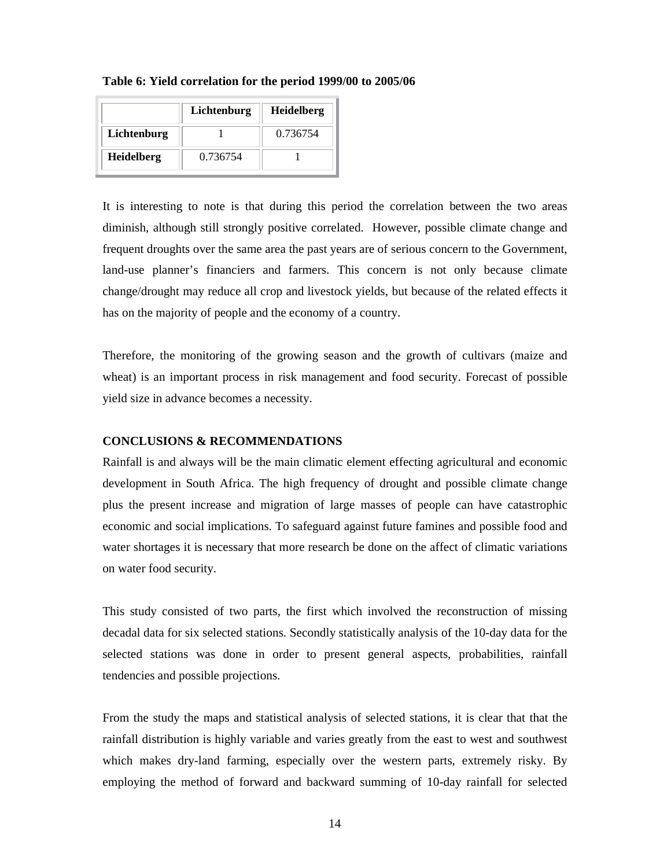| Table 6: Yield correlation for the period 1999/00 to 2005/06 |  |  |
|--------------------------------------------------------------|--|--|
|--------------------------------------------------------------|--|--|

|                   | Lichtenburg | Heidelberg |
|-------------------|-------------|------------|
| Lichtenburg       |             | 0.736754   |
| <b>Heidelberg</b> | 0.736754    |            |

It is interesting to note is that during this period the correlation between the two areas diminish, although still strongly positive correlated. However, possible climate change and frequent droughts over the same area the past years are of serious concern to the Government, land-use planner's financiers and farmers. This concern is not only because climate change/drought may reduce all crop and livestock yields, but because of the related effects it has on the majority of people and the economy of a country.

Therefore, the monitoring of the growing season and the growth of cultivars (maize and wheat) is an important process in risk management and food security. Forecast of possible yield size in advance becomes a necessity.

#### **CONCLUSIONS & RECOMMENDATIONS**

Rainfall is and always will be the main climatic element effecting agricultural and economic development in South Africa. The high frequency of drought and possible climate change plus the present increase and migration of large masses of people can have catastrophic economic and social implications. To safeguard against future famines and possible food and water shortages it is necessary that more research be done on the affect of climatic variations on water food security.

This study consisted of two parts, the first which involved the reconstruction of missing decadal data for six selected stations. Secondly statistically analysis of the 10-day data for the selected stations was done in order to present general aspects, probabilities, rainfall tendencies and possible projections.

From the study the maps and statistical analysis of selected stations, it is clear that that the rainfall distribution is highly variable and varies greatly from the east to west and southwest which makes dry-land farming, especially over the western parts, extremely risky. By employing the method of forward and backward summing of 10-day rainfall for selected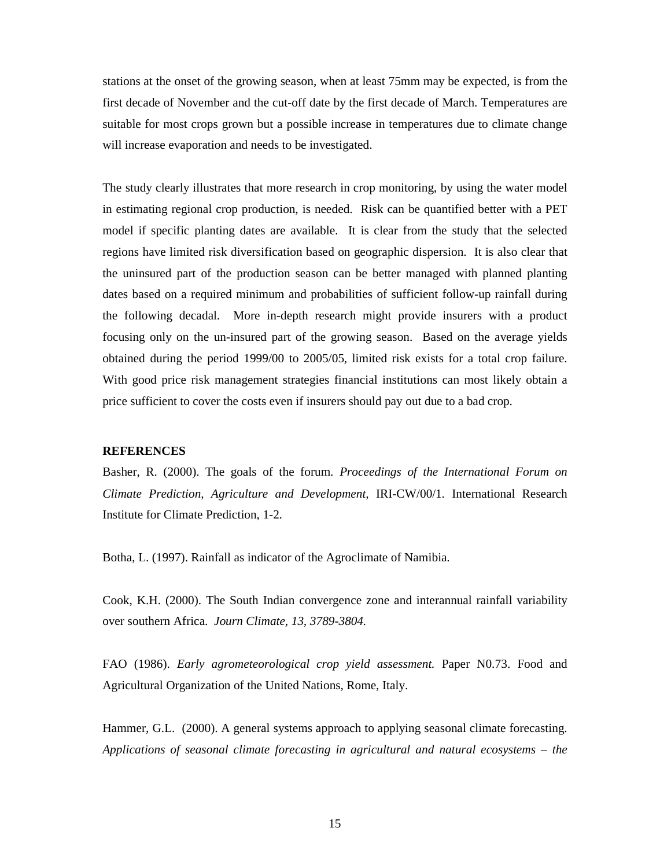stations at the onset of the growing season, when at least 75mm may be expected, is from the first decade of November and the cut-off date by the first decade of March. Temperatures are suitable for most crops grown but a possible increase in temperatures due to climate change will increase evaporation and needs to be investigated.

The study clearly illustrates that more research in crop monitoring, by using the water model in estimating regional crop production, is needed. Risk can be quantified better with a PET model if specific planting dates are available. It is clear from the study that the selected regions have limited risk diversification based on geographic dispersion. It is also clear that the uninsured part of the production season can be better managed with planned planting dates based on a required minimum and probabilities of sufficient follow-up rainfall during the following decadal. More in-depth research might provide insurers with a product focusing only on the un-insured part of the growing season. Based on the average yields obtained during the period 1999/00 to 2005/05, limited risk exists for a total crop failure. With good price risk management strategies financial institutions can most likely obtain a price sufficient to cover the costs even if insurers should pay out due to a bad crop.

#### **REFERENCES**

Basher, R. (2000). The goals of the forum. *Proceedings of the International Forum on Climate Prediction, Agriculture and Development,* IRI-CW/00/1. International Research Institute for Climate Prediction, 1-2.

Botha, L. (1997). Rainfall as indicator of the Agroclimate of Namibia.

Cook, K.H. (2000). The South Indian convergence zone and interannual rainfall variability over southern Africa. *Journ Climate, 13, 3789-3804.* 

FAO (1986). *Early agrometeorological crop yield assessment.* Paper N0.73. Food and Agricultural Organization of the United Nations, Rome, Italy.

Hammer, G.L. (2000). A general systems approach to applying seasonal climate forecasting. *Applications of seasonal climate forecasting in agricultural and natural ecosystems – the*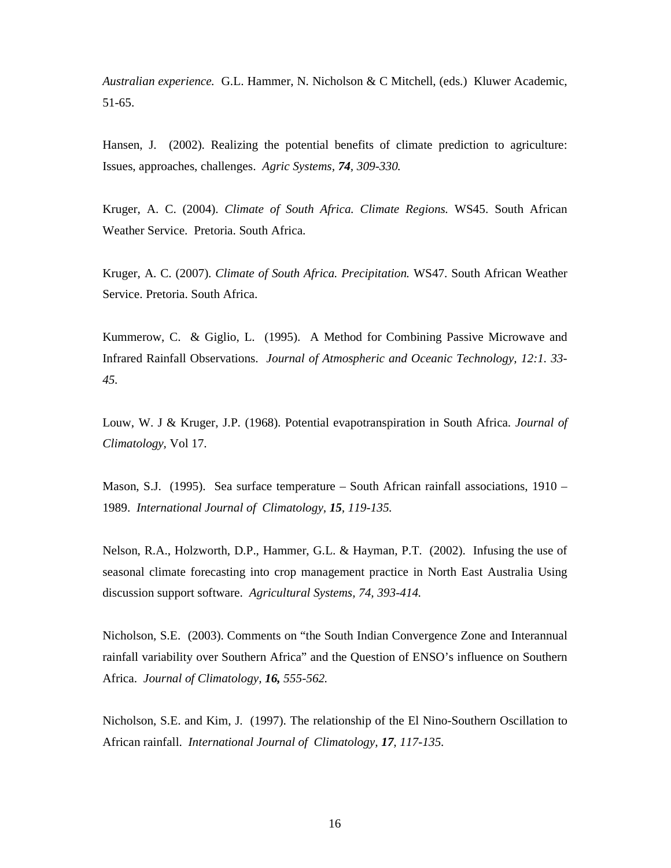*Australian experience.* G.L. Hammer, N. Nicholson & C Mitchell, (eds.) Kluwer Academic, 51-65.

Hansen, J. (2002). Realizing the potential benefits of climate prediction to agriculture: Issues, approaches, challenges. *Agric Systems, 74, 309-330.* 

Kruger, A. C. (2004). *Climate of South Africa. Climate Regions.* WS45. South African Weather Service. Pretoria. South Africa.

Kruger, A. C. (2007). *Climate of South Africa. Precipitation.* WS47. South African Weather Service. Pretoria. South Africa.

Kummerow, C. & Giglio, L. (1995). A Method for Combining Passive Microwave and Infrared Rainfall Observations. *Journal of Atmospheric and Oceanic Technology, 12:1. 33- 45.* 

Louw, W. J & Kruger, J.P. (1968). Potential evapotranspiration in South Africa. *Journal of Climatology,* Vol 17.

Mason, S.J. (1995). Sea surface temperature – South African rainfall associations, 1910 – 1989. *International Journal of Climatology, 15, 119-135.* 

Nelson, R.A., Holzworth, D.P., Hammer, G.L. & Hayman, P.T. (2002). Infusing the use of seasonal climate forecasting into crop management practice in North East Australia Using discussion support software. *Agricultural Systems, 74, 393-414.* 

Nicholson, S.E. (2003). Comments on "the South Indian Convergence Zone and Interannual rainfall variability over Southern Africa" and the Question of ENSO's influence on Southern Africa. *Journal of Climatology, 16, 555-562.*

Nicholson, S.E. and Kim, J. (1997). The relationship of the El Nino-Southern Oscillation to African rainfall. *International Journal of Climatology, 17, 117-135.*